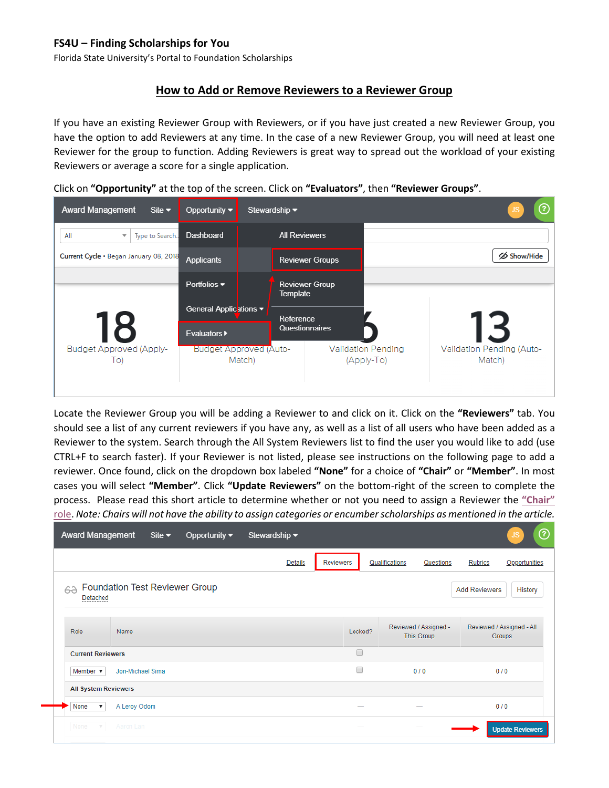# **FS4U – Finding Scholarships for You**

Florida State University's Portal to Foundation Scholarships

## **How to Add or Remove Reviewers to a Reviewer Group**

If you have an existing Reviewer Group with Reviewers, or if you have just created a new Reviewer Group, you have the option to add Reviewers at any time. In the case of a new Reviewer Group, you will need at least one Reviewer for the group to function. Adding Reviewers is great way to spread out the workload of your existing Reviewers or average a score for a single application.

Click on **"Opportunity"** at the top of the screen. Click on **"Evaluators"**, then **"Reviewer Groups"**.

| <b>Award Management</b><br>Site $\blacktriangleright$ | Opportunity $\blacktriangledown$        | Stewardship $\blacktriangledown$ |                                                                                |  | ⑦                  |  |  |  |
|-------------------------------------------------------|-----------------------------------------|----------------------------------|--------------------------------------------------------------------------------|--|--------------------|--|--|--|
| All<br>Type to Search<br>$\overline{\mathbf{v}}$      | Dashboard                               | <b>All Reviewers</b>             |                                                                                |  |                    |  |  |  |
| Current Cycle . Began January 08, 2018                | <b>Applicants</b>                       |                                  | <b>Reviewer Groups</b>                                                         |  | <b>∕</b> Show/Hide |  |  |  |
|                                                       | Portfolios $\blacktriangledown$         | Template                         | <b>Reviewer Group</b>                                                          |  |                    |  |  |  |
|                                                       | General Applications ▼                  | Reference                        |                                                                                |  |                    |  |  |  |
| 18                                                    | <b>Evaluators ▶</b>                     |                                  | Questionnaires                                                                 |  |                    |  |  |  |
| <b>Budget Approved (Apply-</b><br>To)                 | <b>Budget Approved (Auto-</b><br>Match) |                                  | Validation Pending (Auto-<br><b>Validation Pending</b><br>(Apply-To)<br>Match) |  |                    |  |  |  |

Locate the Reviewer Group you will be adding a Reviewer to and click on it. Click on the **"Reviewers"** tab. You should see a list of any current reviewers if you have any, as well as a list of all users who have been added as a Reviewer to the system. Search through the All System Reviewers list to find the user you would like to add (use CTRL+F to search faster). If your Reviewer is not listed, please see instructions on the following page to add a reviewer. Once found, click on the dropdown box labeled **"None"** for a choice of **"Chair"** or **"Member"**. In most cases you will select **"Member"**. Click **"Update Reviewers"** on the bottom-right of the screen to complete the process. Please read this short article to determine whether or not you need to assign a Reviewer the **["Chair"](https://kb.blackbaud.com/articles/Article/121612)** [role.](https://kb.blackbaud.com/articles/Article/121612) *Note: Chairs will not have the ability to assign categories or encumber scholarships as mentioned in the article.*

| <b>Award Management</b>           | Site $\blacktriangleright$            | Opportunity $\blacktriangledown$ | Stewardship $\blacktriangledown$ |                  |         |                |                                     |                                     | $^{\circledR}$<br>JS    |
|-----------------------------------|---------------------------------------|----------------------------------|----------------------------------|------------------|---------|----------------|-------------------------------------|-------------------------------------|-------------------------|
|                                   |                                       |                                  | <b>Details</b>                   | <b>Reviewers</b> |         | Qualifications | Questions                           | <b>Rubrics</b>                      | Opportunities           |
| 6à<br>Detached<br>---------       | <b>Foundation Test Reviewer Group</b> |                                  |                                  |                  |         |                |                                     | <b>Add Reviewers</b>                | History                 |
| Role                              | Name                                  |                                  |                                  |                  | Locked? |                | Reviewed / Assigned -<br>This Group | Reviewed / Assigned - All<br>Groups |                         |
| <b>Current Reviewers</b>          |                                       |                                  |                                  |                  | □       |                |                                     |                                     |                         |
| Member $\overline{\mathbf{v}}$    | Jon-Michael Sima                      |                                  |                                  |                  | □       |                | 0/0                                 | 0/0                                 |                         |
| <b>All System Reviewers</b>       |                                       |                                  |                                  |                  |         |                |                                     |                                     |                         |
| None<br>$\boldsymbol{\mathrm{v}}$ | A Leroy Odom                          |                                  |                                  |                  |         |                |                                     | 0/0                                 |                         |
| None                              | Aaron Lan                             |                                  |                                  |                  |         |                |                                     |                                     | <b>Update Reviewers</b> |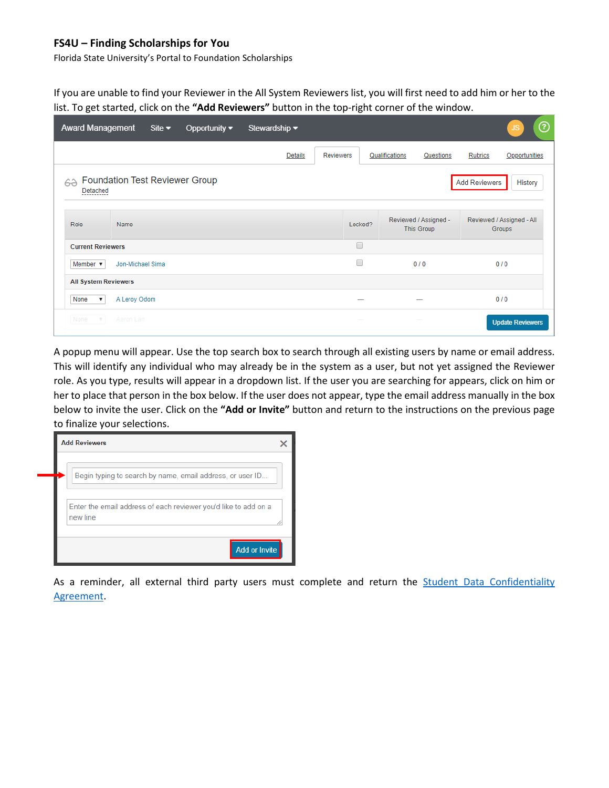## **FS4U – Finding Scholarships for You**

Florida State University's Portal to Foundation Scholarships

If you are unable to find your Reviewer in the All System Reviewers list, you will first need to add him or her to the list. To get started, click on the **"Add Reviewers"** button in the top-right corner of the window.

| <b>Award Management</b>           |                  | Site $\blacktriangleright$ | Opportunity $\blacktriangledown$      | Stewardship $\blacktriangledown$ |                  |         |                |                                     |                                     | ℗<br>JS                 |
|-----------------------------------|------------------|----------------------------|---------------------------------------|----------------------------------|------------------|---------|----------------|-------------------------------------|-------------------------------------|-------------------------|
|                                   |                  |                            |                                       | <b>Details</b>                   | <b>Reviewers</b> |         | Qualifications | Questions                           | Rubrics                             | Opportunities           |
| 62<br>Detached<br>----------      |                  |                            | <b>Foundation Test Reviewer Group</b> |                                  |                  |         |                |                                     | <b>Add Reviewers</b>                | History                 |
| Role                              | Name             |                            |                                       |                                  |                  | Locked? |                | Reviewed / Assigned -<br>This Group | Reviewed / Assigned - All<br>Groups |                         |
| <b>Current Reviewers</b>          |                  |                            |                                       |                                  |                  | □       |                |                                     |                                     |                         |
| Member $\blacktriangledown$       | Jon-Michael Sima |                            |                                       |                                  |                  | ∩       |                | 0/0                                 | 0/0                                 |                         |
| <b>All System Reviewers</b>       |                  |                            |                                       |                                  |                  |         |                |                                     |                                     |                         |
| None<br>$\boldsymbol{\mathrm{v}}$ | A Leroy Odom     |                            |                                       |                                  |                  |         |                |                                     | 0/0                                 |                         |
| None<br>$\mathbf{V}$ .            | Aaron Lan        |                            |                                       |                                  |                  |         |                |                                     |                                     | <b>Update Reviewers</b> |

A popup menu will appear. Use the top search box to search through all existing users by name or email address. This will identify any individual who may already be in the system as a user, but not yet assigned the Reviewer role. As you type, results will appear in a dropdown list. If the user you are searching for appears, click on him or her to place that person in the box below. If the user does not appear, type the email address manually in the box below to invite the user. Click on the **"Add or Invite"** button and return to the instructions on the previous page to finalize your selections.



As a reminder, all external third party users must complete and return the [Student Data Confidentiality](https://foundation.fsu.edu/sites/foundation.fsu.edu/files/documents/forms-and-resources/Student-Data-Confidentiality-Agreement.pdf)  [Agreement.](https://foundation.fsu.edu/sites/foundation.fsu.edu/files/documents/forms-and-resources/Student-Data-Confidentiality-Agreement.pdf)